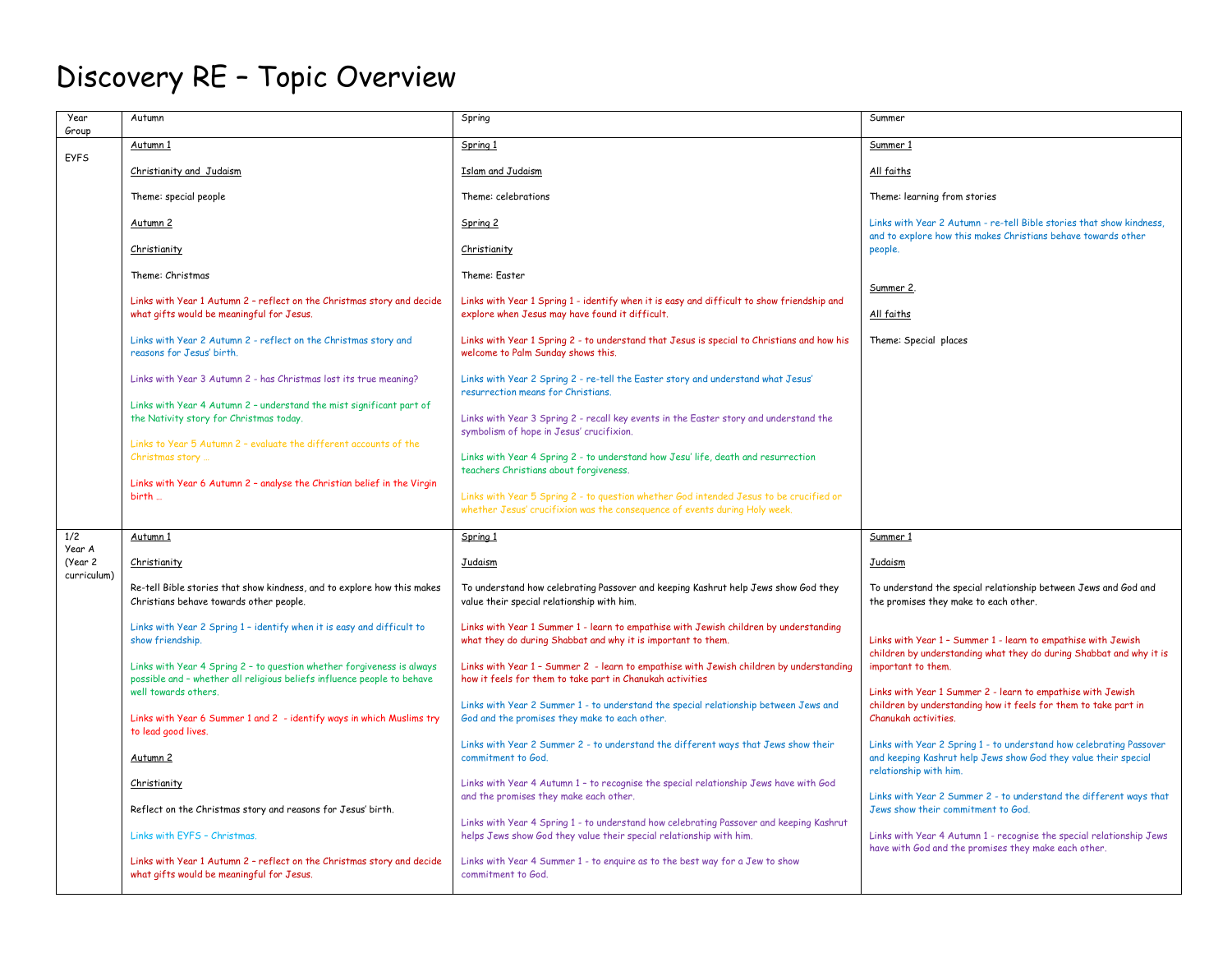## Discovery RE – Topic Overview

| Year<br>Group     | Autumn                                                                                                                                            | Spring                                                                                                                                                         | Summer                                                                                                                                                           |
|-------------------|---------------------------------------------------------------------------------------------------------------------------------------------------|----------------------------------------------------------------------------------------------------------------------------------------------------------------|------------------------------------------------------------------------------------------------------------------------------------------------------------------|
| <b>EYFS</b>       | Autumn 1                                                                                                                                          | Spring 1                                                                                                                                                       | Summer 1                                                                                                                                                         |
|                   | Christianity and Judaism                                                                                                                          | <b>Islam and Judaism</b>                                                                                                                                       | All faiths                                                                                                                                                       |
|                   | Theme: special people                                                                                                                             | Theme: celebrations                                                                                                                                            | Theme: learning from stories                                                                                                                                     |
|                   | Autumn 2                                                                                                                                          | Spring 2                                                                                                                                                       | Links with Year 2 Autumn - re-tell Bible stories that show kindness.<br>and to explore how this makes Christians behave towards other                            |
|                   | Christianity                                                                                                                                      | Christianity                                                                                                                                                   | people.                                                                                                                                                          |
|                   | Theme: Christmas                                                                                                                                  | Theme: Faster                                                                                                                                                  | Summer 2.                                                                                                                                                        |
|                   | Links with Year 1 Autumn 2 - reflect on the Christmas story and decide<br>what gifts would be meaningful for Jesus.                               | Links with Year 1 Spring 1 - identify when it is easy and difficult to show friendship and<br>explore when Jesus may have found it difficult.                  | All faiths                                                                                                                                                       |
|                   | Links with Year 2 Autumn 2 - reflect on the Christmas story and<br>reasons for Jesus' birth.                                                      | Links with Year 1 Spring 2 - to understand that Jesus is special to Christians and how his<br>welcome to Palm Sunday shows this.                               | Theme: Special places                                                                                                                                            |
|                   | Links with Year 3 Autumn 2 - has Christmas lost its true meaning?                                                                                 | Links with Year 2 Spring 2 - re-tell the Easter story and understand what Jesus'<br>resurrection means for Christians                                          |                                                                                                                                                                  |
|                   | Links with Year 4 Autumn 2 - understand the mist significant part of<br>the Nativity story for Christmas today.                                   | Links with Year 3 Spring 2 - recall key events in the Easter story and understand the<br>symbolism of hope in Jesus' crucifixion.                              |                                                                                                                                                                  |
|                   | Links to Year 5 Autumn 2 - evaluate the different accounts of the<br>Christmas story                                                              | Links with Year 4 Spring 2 - to understand how Jesu' life, death and resurrection<br>teachers Christians about forgiveness.                                    |                                                                                                                                                                  |
|                   | Links with Year 6 Autumn 2 - analyse the Christian belief in the Virgin<br>birth                                                                  | Links with Year 5 Spring 2 - to question whether God intended Jesus to be crucified or                                                                         |                                                                                                                                                                  |
|                   |                                                                                                                                                   | whether Jesus' crucifixion was the consequence of events during Holy week.                                                                                     |                                                                                                                                                                  |
| 1/2               | Autumn 1                                                                                                                                          | Spring 1                                                                                                                                                       | Summer 1                                                                                                                                                         |
| Year A<br>(Year 2 | Christianity                                                                                                                                      | Judaism                                                                                                                                                        | Judaism                                                                                                                                                          |
| curriculum)       | Re-tell Bible stories that show kindness, and to explore how this makes<br>Christians behave towards other people.                                | To understand how celebrating Passover and keeping Kashrut help Jews show God they<br>value their special relationship with him.                               | To understand the special relationship between Jews and God and<br>the promises they make to each other.                                                         |
|                   | Links with Year 2 Spring 1 - identify when it is easy and difficult to<br>show friendship.                                                        | Links with Year 1 Summer 1 - learn to empathise with Jewish children by understanding<br>what they do during Shabbat and why it is important to them.          | Links with Year 1 - Summer 1 - learn to empathise with Jewish                                                                                                    |
|                   | Links with Year 4 Spring 2 - to question whether forgiveness is always<br>possible and - whether all religious beliefs influence people to behave | Links with Year 1 - Summer 2 - learn to empathise with Jewish children by understanding<br>how it feels for them to take part in Chanukah activities           | children by understanding what they do during Shabbat and why it is<br>important to them.                                                                        |
|                   | well towards others.<br>Links with Year 6 Summer 1 and 2 - identify ways in which Muslims try<br>to lead good lives.                              | Links with Year 2 Summer 1 - to understand the special relationship between Jews and<br>God and the promises they make to each other.                          | Links with Year 1 Summer 2 - learn to empathise with Jewish<br>children by understanding how it feels for them to take part in<br>Chanukah activities.           |
|                   | Autumn <sub>2</sub>                                                                                                                               | Links with Year 2 Summer 2 - to understand the different ways that Jews show their<br>commitment to God.                                                       | Links with Year 2 Spring 1 - to understand how celebrating Passover<br>and keeping Kashrut help Jews show God they value their special<br>relationship with him. |
|                   | Christianity                                                                                                                                      | Links with Year 4 Autumn 1 - to recognise the special relationship Jews have with God<br>and the promises they make each other.                                | Links with Year 2 Summer 2 - to understand the different ways that<br>Jews show their commitment to God.                                                         |
|                   | Reflect on the Christmas story and reasons for Jesus' birth.<br>Links with FYFS - Christmas                                                       | Links with Year 4 Spring 1 - to understand how celebrating Passover and keeping Kashrut<br>helps Jews show God they value their special relationship with him. | Links with Year 4 Autumn 1 - recognise the special relationship Jews<br>have with God and the promises they make each other.                                     |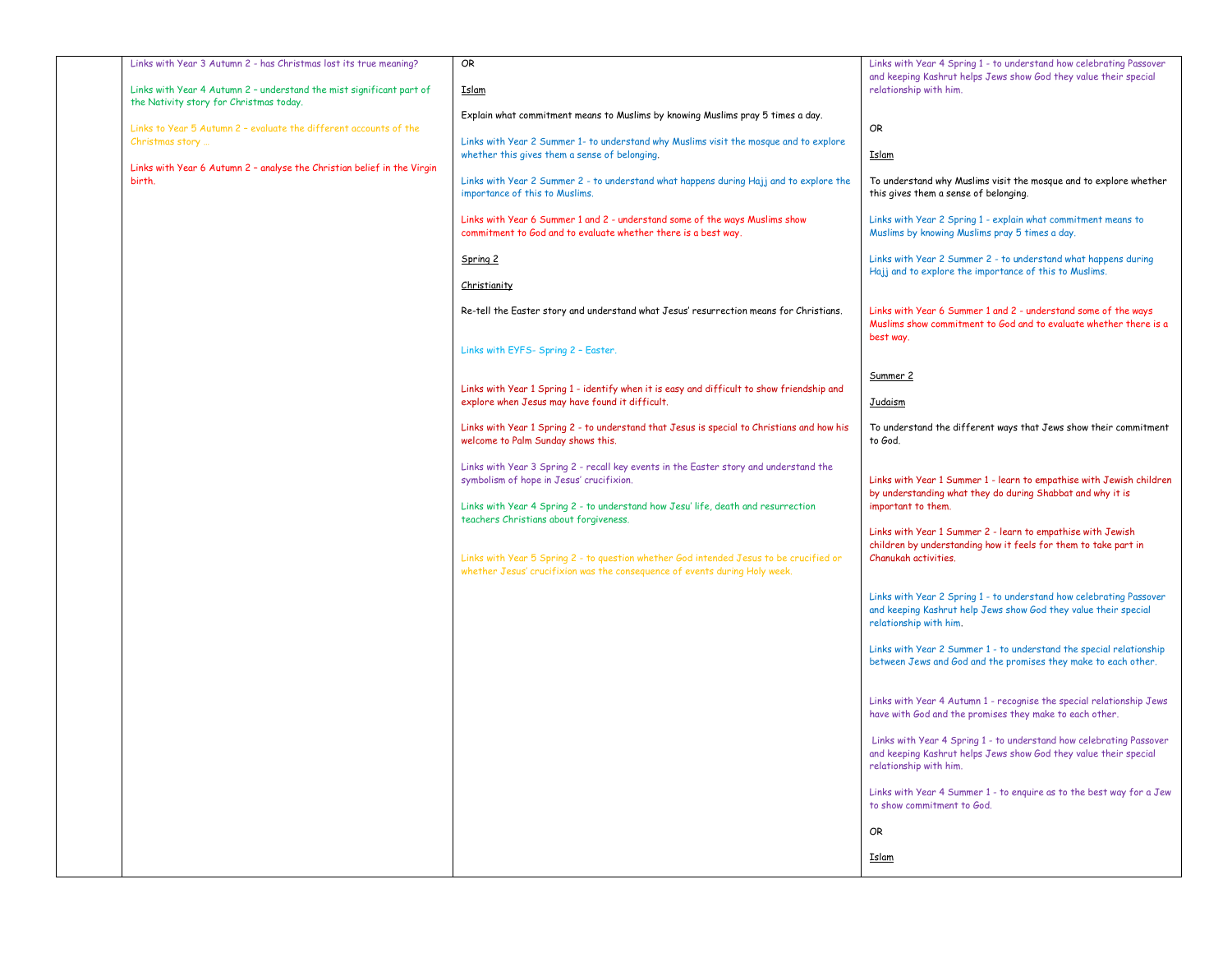| Links with Year 3 Autumn 2 - has Christmas lost its true meaning?<br>Links with Year 4 Autumn 2 - understand the mist significant part of<br>the Nativity story for Christmas today. | OR<br><u>Islam</u>                                                                                                                            | Links with Year 4 Spring 1 - to understand how celebrating Passover<br>and keeping Kashrut helps Jews show God they value their special<br>relationship with him. |
|--------------------------------------------------------------------------------------------------------------------------------------------------------------------------------------|-----------------------------------------------------------------------------------------------------------------------------------------------|-------------------------------------------------------------------------------------------------------------------------------------------------------------------|
| Links to Year 5 Autumn 2 - evaluate the different accounts of the                                                                                                                    | Explain what commitment means to Muslims by knowing Muslims pray 5 times a day.                                                               | OR                                                                                                                                                                |
| Christmas story<br>Links with Year 6 Autumn 2 - analyse the Christian belief in the Virgin                                                                                           | Links with Year 2 Summer 1- to understand why Muslims visit the mosque and to explore<br>whether this gives them a sense of belonging.        | <u>Islam</u>                                                                                                                                                      |
| birth.                                                                                                                                                                               | Links with Year 2 Summer 2 - to understand what happens during Hajj and to explore the<br>importance of this to Muslims.                      | To understand why Muslims visit the mosque and to explore whether<br>this gives them a sense of belonging.                                                        |
|                                                                                                                                                                                      | Links with Year 6 Summer 1 and 2 - understand some of the ways Muslims show<br>commitment to God and to evaluate whether there is a best way. | Links with Year 2 Spring 1 - explain what commitment means to<br>Muslims by knowing Muslims pray 5 times a day.                                                   |
|                                                                                                                                                                                      | Spring 2                                                                                                                                      | Links with Year 2 Summer 2 - to understand what happens during<br>Hajj and to explore the importance of this to Muslims.                                          |
|                                                                                                                                                                                      | Christianity                                                                                                                                  |                                                                                                                                                                   |
|                                                                                                                                                                                      | Re-tell the Easter story and understand what Jesus' resurrection means for Christians.                                                        | Links with Year 6 Summer 1 and 2 - understand some of the ways<br>Muslims show commitment to God and to evaluate whether there is a                               |
|                                                                                                                                                                                      | Links with EYFS- Spring 2 - Easter.                                                                                                           | best way.                                                                                                                                                         |
|                                                                                                                                                                                      |                                                                                                                                               | Summer 2                                                                                                                                                          |
|                                                                                                                                                                                      | Links with Year 1 Spring 1 - identify when it is easy and difficult to show friendship and<br>explore when Jesus may have found it difficult. | <b>Judaism</b>                                                                                                                                                    |
|                                                                                                                                                                                      | Links with Year 1 Spring 2 - to understand that Jesus is special to Christians and how his<br>welcome to Palm Sunday shows this.              | To understand the different ways that Jews show their commitment<br>to God.                                                                                       |
|                                                                                                                                                                                      | Links with Year 3 Spring 2 - recall key events in the Easter story and understand the<br>symbolism of hope in Jesus' crucifixion.             | Links with Year 1 Summer 1 - learn to empathise with Jewish children<br>by understanding what they do during Shabbat and why it is                                |
|                                                                                                                                                                                      | Links with Year 4 Spring 2 - to understand how Jesu' life, death and resurrection<br>teachers Christians about forgiveness.                   | important to them.                                                                                                                                                |
|                                                                                                                                                                                      | Links with Year 5 Spring 2 - to question whether God intended Jesus to be crucified or                                                        | Links with Year 1 Summer 2 - learn to empathise with Jewish<br>children by understanding how it feels for them to take part in<br>Chanukah activities.            |
|                                                                                                                                                                                      | whether Jesus' crucifixion was the consequence of events during Holy week.                                                                    |                                                                                                                                                                   |
|                                                                                                                                                                                      |                                                                                                                                               | Links with Year 2 Spring 1 - to understand how celebrating Passover<br>and keeping Kashrut help Jews show God they value their special<br>relationship with him.  |
|                                                                                                                                                                                      |                                                                                                                                               | Links with Year 2 Summer 1 - to understand the special relationship<br>between Jews and God and the promises they make to each other.                             |
|                                                                                                                                                                                      |                                                                                                                                               | Links with Year 4 Autumn 1 - recognise the special relationship Jews<br>have with God and the promises they make to each other.                                   |
|                                                                                                                                                                                      |                                                                                                                                               | Links with Year 4 Spring 1 - to understand how celebrating Passover<br>and keeping Kashrut helps Jews show God they value their special<br>relationship with him. |
|                                                                                                                                                                                      |                                                                                                                                               | Links with Year 4 Summer 1 - to enquire as to the best way for a Jew<br>to show commitment to God.                                                                |
|                                                                                                                                                                                      |                                                                                                                                               | OR                                                                                                                                                                |
|                                                                                                                                                                                      |                                                                                                                                               | <u>Islam</u>                                                                                                                                                      |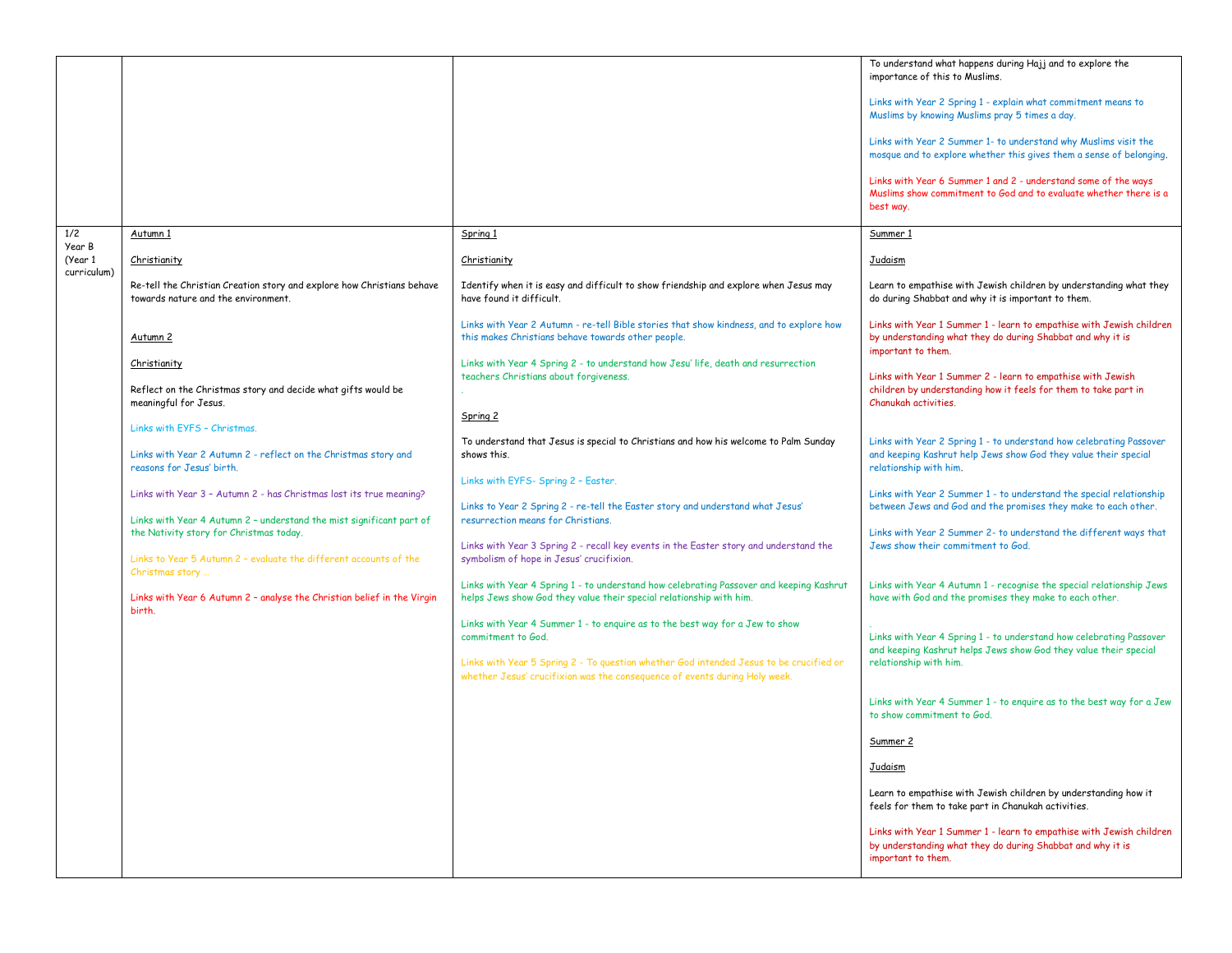|                        |                                                                                                                                             |                                                                                                                                                                      | To understand what happens during Hajj and to explore the<br>importance of this to Muslims.                                                                      |
|------------------------|---------------------------------------------------------------------------------------------------------------------------------------------|----------------------------------------------------------------------------------------------------------------------------------------------------------------------|------------------------------------------------------------------------------------------------------------------------------------------------------------------|
|                        |                                                                                                                                             |                                                                                                                                                                      | Links with Year 2 Spring 1 - explain what commitment means to<br>Muslims by knowing Muslims pray 5 times a day.                                                  |
|                        |                                                                                                                                             |                                                                                                                                                                      | Links with Year 2 Summer 1- to understand why Muslims visit the<br>mosque and to explore whether this gives them a sense of belonging.                           |
|                        |                                                                                                                                             |                                                                                                                                                                      | Links with Year 6 Summer 1 and 2 - understand some of the ways<br>Muslims show commitment to God and to evaluate whether there is a<br>best way.                 |
|                        |                                                                                                                                             |                                                                                                                                                                      |                                                                                                                                                                  |
| 1/2<br>Year B          | Autumn 1                                                                                                                                    | Spring 1                                                                                                                                                             | Summer 1                                                                                                                                                         |
| (Year 1<br>curriculum) | Christianity                                                                                                                                | Christianity                                                                                                                                                         | Judaism                                                                                                                                                          |
|                        | Re-tell the Christian Creation story and explore how Christians behave<br>towards nature and the environment.                               | Identify when it is easy and difficult to show friendship and explore when Jesus may<br>have found it difficult.                                                     | Learn to empathise with Jewish children by understanding what they<br>do during Shabbat and why it is important to them.                                         |
|                        | Autumn 2                                                                                                                                    | Links with Year 2 Autumn - re-tell Bible stories that show kindness, and to explore how<br>this makes Christians behave towards other people.                        | Links with Year 1 Summer 1 - learn to empathise with Jewish children<br>by understanding what they do during Shabbat and why it is<br>important to them.         |
|                        | Christianity                                                                                                                                | Links with Year 4 Spring 2 - to understand how Jesu' life, death and resurrection                                                                                    | Links with Year 1 Summer 2 - learn to empathise with Jewish                                                                                                      |
|                        | Reflect on the Christmas story and decide what gifts would be<br>meaningful for Jesus.                                                      | teachers Christians about forgiveness.                                                                                                                               | children by understanding how it feels for them to take part in<br>Chanukah activities                                                                           |
|                        | Links with EYFS - Christmas.                                                                                                                | Spring 2                                                                                                                                                             |                                                                                                                                                                  |
|                        | Links with Year 2 Autumn 2 - reflect on the Christmas story and<br>reasons for Jesus' birth.                                                | To understand that Jesus is special to Christians and how his welcome to Palm Sunday<br>shows this.                                                                  | Links with Year 2 Spring 1 - to understand how celebrating Passover<br>and keeping Kashrut help Jews show God they value their special<br>relationship with him. |
|                        |                                                                                                                                             | Links with EYFS- Spring 2 - Easter.                                                                                                                                  |                                                                                                                                                                  |
|                        | Links with Year 3 - Autumn 2 - has Christmas lost its true meaning?<br>Links with Year 4 Autumn 2 - understand the mist significant part of | Links to Year 2 Spring 2 - re-tell the Easter story and understand what Jesus'<br>resurrection means for Christians.                                                 | Links with Year 2 Summer 1 - to understand the special relationship<br>between Jews and God and the promises they make to each other.                            |
|                        | the Nativity story for Christmas today.<br>Links to Year 5 Autumn 2 - evaluate the different accounts of the                                | Links with Year 3 Spring 2 - recall key events in the Easter story and understand the<br>symbolism of hope in Jesus' crucifixion.                                    | Links with Year 2 Summer 2- to understand the different ways that<br>Jews show their commitment to God.                                                          |
|                        | Christmas story                                                                                                                             |                                                                                                                                                                      |                                                                                                                                                                  |
|                        | Links with Year 6 Autumn 2 - analyse the Christian belief in the Virgin<br>birth.                                                           | Links with Year 4 Spring 1 - to understand how celebrating Passover and keeping Kashrut<br>helps Jews show God they value their special relationship with him.       | Links with Year 4 Autumn 1 - recognise the special relationship Jews<br>have with God and the promises they make to each other.                                  |
|                        |                                                                                                                                             | Links with Year 4 Summer 1 - to enquire as to the best way for a Jew to show<br>commitment to God.                                                                   | Links with Year 4 Spring 1 - to understand how celebrating Passover<br>and keeping Kashrut helps Jews show God they value their special                          |
|                        |                                                                                                                                             | Links with Year 5 Spring 2 - To question whether God intended Jesus to be crucified or<br>whether Jesus' crucifixion was the consequence of events during Holy week. | relationship with him.                                                                                                                                           |
|                        |                                                                                                                                             |                                                                                                                                                                      | Links with Year 4 Summer 1 - to enquire as to the best way for a Jew<br>to show commitment to God.                                                               |
|                        |                                                                                                                                             |                                                                                                                                                                      | Summer 2                                                                                                                                                         |
|                        |                                                                                                                                             |                                                                                                                                                                      | <u>Judaism</u>                                                                                                                                                   |
|                        |                                                                                                                                             |                                                                                                                                                                      | Learn to empathise with Jewish children by understanding how it<br>feels for them to take part in Chanukah activities.                                           |
|                        |                                                                                                                                             |                                                                                                                                                                      | Links with Year 1 Summer 1 - learn to empathise with Jewish children<br>by understanding what they do during Shabbat and why it is<br>important to them.         |
|                        |                                                                                                                                             |                                                                                                                                                                      |                                                                                                                                                                  |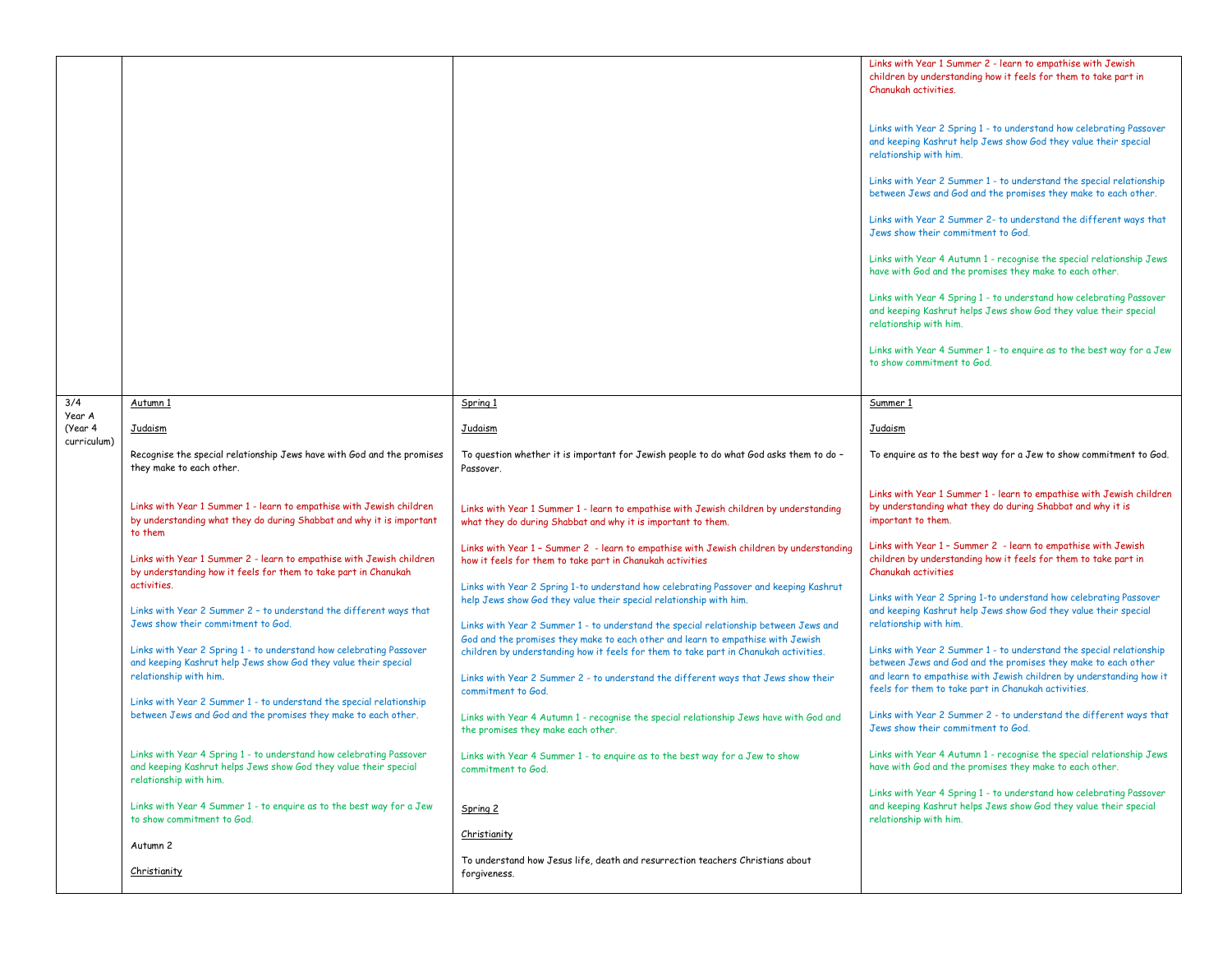|                   |                                                                                                                                                                   |                                                                                                                                                                            | Links with Year 1 Summer 2 - learn to empathise with Jewish<br>children by understanding how it feels for them to take part in<br>Chanukah activities.                                                      |
|-------------------|-------------------------------------------------------------------------------------------------------------------------------------------------------------------|----------------------------------------------------------------------------------------------------------------------------------------------------------------------------|-------------------------------------------------------------------------------------------------------------------------------------------------------------------------------------------------------------|
|                   |                                                                                                                                                                   |                                                                                                                                                                            | Links with Year 2 Spring 1 - to understand how celebrating Passover<br>and keeping Kashrut help Jews show God they value their special<br>relationship with him.                                            |
|                   |                                                                                                                                                                   |                                                                                                                                                                            | Links with Year 2 Summer 1 - to understand the special relationship<br>between Jews and God and the promises they make to each other.                                                                       |
|                   |                                                                                                                                                                   |                                                                                                                                                                            | Links with Year 2 Summer 2- to understand the different ways that<br>Jews show their commitment to God.                                                                                                     |
|                   |                                                                                                                                                                   |                                                                                                                                                                            | Links with Year 4 Autumn 1 - recognise the special relationship Jews<br>have with God and the promises they make to each other.                                                                             |
|                   |                                                                                                                                                                   |                                                                                                                                                                            | Links with Year 4 Spring 1 - to understand how celebrating Passover<br>and keeping Kashrut helps Jews show God they value their special<br>relationship with him.                                           |
|                   |                                                                                                                                                                   |                                                                                                                                                                            | Links with Year 4 Summer 1 - to enquire as to the best way for a Jew<br>to show commitment to God.                                                                                                          |
| 3/4               | Autumn 1                                                                                                                                                          | Spring 1                                                                                                                                                                   | Summer 1                                                                                                                                                                                                    |
| Year A<br>(Year 4 | Judaism                                                                                                                                                           | <b>Judaism</b>                                                                                                                                                             | <b>Judaism</b>                                                                                                                                                                                              |
| curriculum)       | Recognise the special relationship Jews have with God and the promises<br>they make to each other.                                                                | To question whether it is important for Jewish people to do what God asks them to do -<br>Passover.                                                                        | To enquire as to the best way for a Jew to show commitment to God.                                                                                                                                          |
|                   | Links with Year 1 Summer 1 - learn to empathise with Jewish children<br>by understanding what they do during Shabbat and why it is important<br>to them           | Links with Year 1 Summer 1 - learn to empathise with Jewish children by understanding<br>what they do during Shabbat and why it is important to them.                      | Links with Year 1 Summer 1 - learn to empathise with Jewish children<br>by understanding what they do during Shabbat and why it is<br>important to them.                                                    |
|                   | Links with Year 1 Summer 2 - learn to empathise with Jewish children<br>by understanding how it feels for them to take part in Chanukah                           | Links with Year 1 - Summer 2 - learn to empathise with Jewish children by understanding<br>how it feels for them to take part in Chanukah activities                       | Links with Year 1 - Summer 2 - learn to empathise with Jewish<br>children by understanding how it feels for them to take part in<br><b>Chanukah activities</b>                                              |
|                   | activities.<br>Links with Year 2 Summer 2 - to understand the different ways that                                                                                 | Links with Year 2 Spring 1-to understand how celebrating Passover and keeping Kashrut<br>help Jews show God they value their special relationship with him.                | Links with Year 2 Spring 1-to understand how celebrating Passover<br>and keeping Kashrut help Jews show God they value their special                                                                        |
|                   | Jews show their commitment to God.                                                                                                                                | Links with Year 2 Summer 1 - to understand the special relationship between Jews and<br>God and the promises they make to each other and learn to empathise with Jewish    | relationship with him.                                                                                                                                                                                      |
|                   | Links with Year 2 Spring 1 - to understand how celebrating Passover<br>and keeping Kashrut help Jews show God they value their special<br>relationship with him.  | children by understanding how it feels for them to take part in Chanukah activities.<br>Links with Year 2 Summer 2 - to understand the different ways that Jews show their | Links with Year 2 Summer 1 - to understand the special relationship<br>between Jews and God and the promises they make to each other<br>and learn to empathise with Jewish children by understanding how it |
|                   | Links with Year 2 Summer 1 - to understand the special relationship<br>between Jews and God and the promises they make to each other.                             | commitment to God.<br>Links with Year 4 Autumn 1 - recognise the special relationship Jews have with God and<br>the promises they make each other.                         | feels for them to take part in Chanukah activities.<br>Links with Year 2 Summer 2 - to understand the different ways that<br>Jews show their commitment to God.                                             |
|                   | Links with Year 4 Spring 1 - to understand how celebrating Passover<br>and keeping Kashrut helps Jews show God they value their special<br>relationship with him. | Links with Year 4 Summer 1 - to enquire as to the best way for a Jew to show<br>commitment to God.                                                                         | Links with Year 4 Autumn 1 - recognise the special relationship Jews<br>have with God and the promises they make to each other.                                                                             |
|                   | Links with Year 4 Summer 1 - to enquire as to the best way for a Jew<br>to show commitment to God.                                                                | Spring 2                                                                                                                                                                   | Links with Year 4 Spring 1 - to understand how celebrating Passover<br>and keeping Kashrut helps Jews show God they value their special<br>relationship with him.                                           |
|                   | Autumn 2                                                                                                                                                          | Christianity                                                                                                                                                               |                                                                                                                                                                                                             |
|                   | Christianity                                                                                                                                                      | To understand how Jesus life, death and resurrection teachers Christians about<br>forgiveness.                                                                             |                                                                                                                                                                                                             |
|                   |                                                                                                                                                                   |                                                                                                                                                                            |                                                                                                                                                                                                             |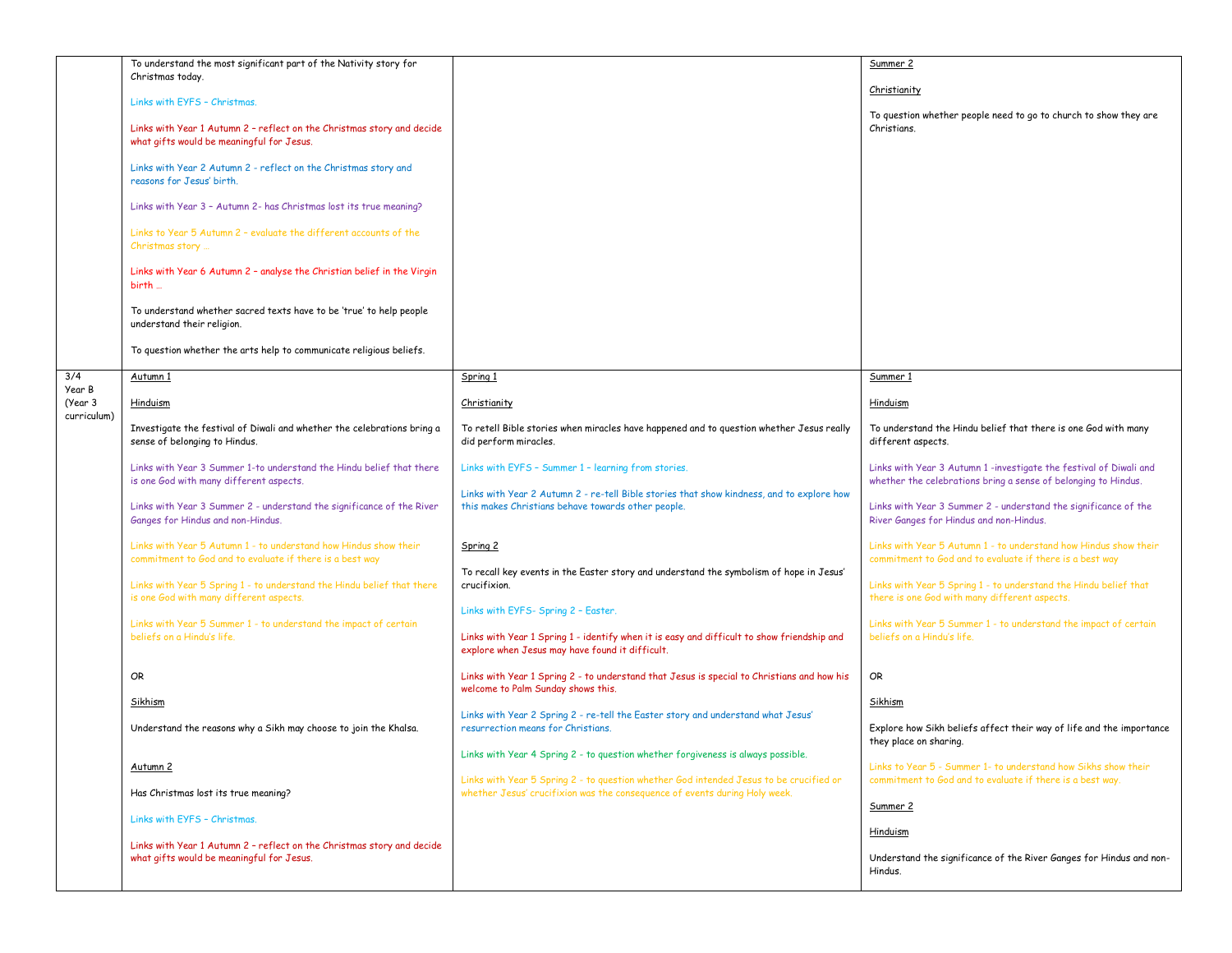|                   | To understand the most significant part of the Nativity story for                                                            |                                                                                                                                                                                      | Summer 2                                                                                                                             |
|-------------------|------------------------------------------------------------------------------------------------------------------------------|--------------------------------------------------------------------------------------------------------------------------------------------------------------------------------------|--------------------------------------------------------------------------------------------------------------------------------------|
|                   | Christmas today.                                                                                                             |                                                                                                                                                                                      |                                                                                                                                      |
|                   | Links with EYFS - Christmas,                                                                                                 |                                                                                                                                                                                      | Christianity                                                                                                                         |
|                   |                                                                                                                              |                                                                                                                                                                                      | To question whether people need to go to church to show they are                                                                     |
|                   | Links with Year 1 Autumn 2 - reflect on the Christmas story and decide<br>what gifts would be meaningful for Jesus.          |                                                                                                                                                                                      | Christians.                                                                                                                          |
|                   | Links with Year 2 Autumn 2 - reflect on the Christmas story and<br>reasons for Jesus' birth.                                 |                                                                                                                                                                                      |                                                                                                                                      |
|                   | Links with Year 3 - Autumn 2- has Christmas lost its true meaning?                                                           |                                                                                                                                                                                      |                                                                                                                                      |
|                   | Links to Year 5 Autumn 2 - evaluate the different accounts of the<br>Christmas story                                         |                                                                                                                                                                                      |                                                                                                                                      |
|                   | Links with Year 6 Autumn 2 - analyse the Christian belief in the Virgin<br>birth                                             |                                                                                                                                                                                      |                                                                                                                                      |
|                   | To understand whether sacred texts have to be 'true' to help people<br>understand their religion.                            |                                                                                                                                                                                      |                                                                                                                                      |
|                   | To question whether the arts help to communicate religious beliefs.                                                          |                                                                                                                                                                                      |                                                                                                                                      |
| 3/4               | Autumn 1                                                                                                                     | Spring 1                                                                                                                                                                             | Summer 1                                                                                                                             |
| Year B<br>(Year 3 | Hinduism                                                                                                                     | Christianity                                                                                                                                                                         | Hinduism                                                                                                                             |
| curriculum)       |                                                                                                                              |                                                                                                                                                                                      |                                                                                                                                      |
|                   | Investigate the festival of Diwali and whether the celebrations bring a<br>sense of belonging to Hindus.                     | To retell Bible stories when miracles have happened and to question whether Jesus really<br>did perform miracles.                                                                    | To understand the Hindu belief that there is one God with many<br>different aspects.                                                 |
|                   | Links with Year 3 Summer 1-to understand the Hindu belief that there<br>is one God with many different aspects.              | Links with EYFS - Summer 1 - learning from stories.                                                                                                                                  | Links with Year 3 Autumn 1 -investigate the festival of Diwali and<br>whether the celebrations bring a sense of belonging to Hindus. |
|                   | Links with Year 3 Summer 2 - understand the significance of the River<br>Ganges for Hindus and non-Hindus.                   | Links with Year 2 Autumn 2 - re-tell Bible stories that show kindness, and to explore how<br>this makes Christians behave towards other people.                                      | Links with Year 3 Summer 2 - understand the significance of the<br>River Ganges for Hindus and non-Hindus.                           |
|                   | Links with Year 5 Autumn 1 - to understand how Hindus show their<br>commitment to God and to evaluate if there is a best way | Spring 2                                                                                                                                                                             | Links with Year 5 Autumn 1 - to understand how Hindus show their<br>commitment to God and to evaluate if there is a best way         |
|                   | Links with Year 5 Spring 1 - to understand the Hindu belief that there<br>is one God with many different aspects.            | To recall key events in the Easter story and understand the symbolism of hope in Jesus'<br>crucifixion.                                                                              | Links with Year 5 Spring 1 - to understand the Hindu belief that<br>there is one God with many different aspects.                    |
|                   | Links with Year 5 Summer 1 - to understand the impact of certain<br>beliefs on a Hindu's life.                               | Links with EYFS- Spring 2 - Easter.<br>Links with Year 1 Spring 1 - identify when it is easy and difficult to show friendship and<br>explore when Jesus may have found it difficult. | Links with Year 5 Summer 1 - to understand the impact of certain<br>beliefs on a Hindu's life.                                       |
|                   | OR                                                                                                                           | Links with Year 1 Spring 2 - to understand that Jesus is special to Christians and how his<br>welcome to Palm Sunday shows this.                                                     | OR                                                                                                                                   |
|                   | Sikhism                                                                                                                      | Links with Year 2 Spring 2 - re-tell the Easter story and understand what Jesus'                                                                                                     | Sikhism                                                                                                                              |
|                   | Understand the reasons why a Sikh may choose to join the Khalsa.                                                             | resurrection means for Christians.                                                                                                                                                   | Explore how Sikh beliefs affect their way of life and the importance<br>they place on sharing.                                       |
|                   |                                                                                                                              | Links with Year 4 Spring 2 - to question whether forgiveness is always possible.                                                                                                     |                                                                                                                                      |
|                   | <u>Autumn 2</u>                                                                                                              | Links with Year 5 Spring 2 - to question whether God intended Jesus to be crucified or                                                                                               | Links to Year 5 - Summer 1- to understand how Sikhs show their<br>commitment to God and to evaluate if there is a best way.          |
|                   | Has Christmas lost its true meaning?                                                                                         | whether Jesus' crucifixion was the consequence of events during Holy week.                                                                                                           | Summer 2                                                                                                                             |
|                   | Links with EYFS - Christmas.                                                                                                 |                                                                                                                                                                                      | Hinduism                                                                                                                             |
|                   | Links with Year 1 Autumn 2 - reflect on the Christmas story and decide<br>what gifts would be meaningful for Jesus.          |                                                                                                                                                                                      | Understand the significance of the River Ganges for Hindus and non-<br>Hindus.                                                       |
|                   |                                                                                                                              |                                                                                                                                                                                      |                                                                                                                                      |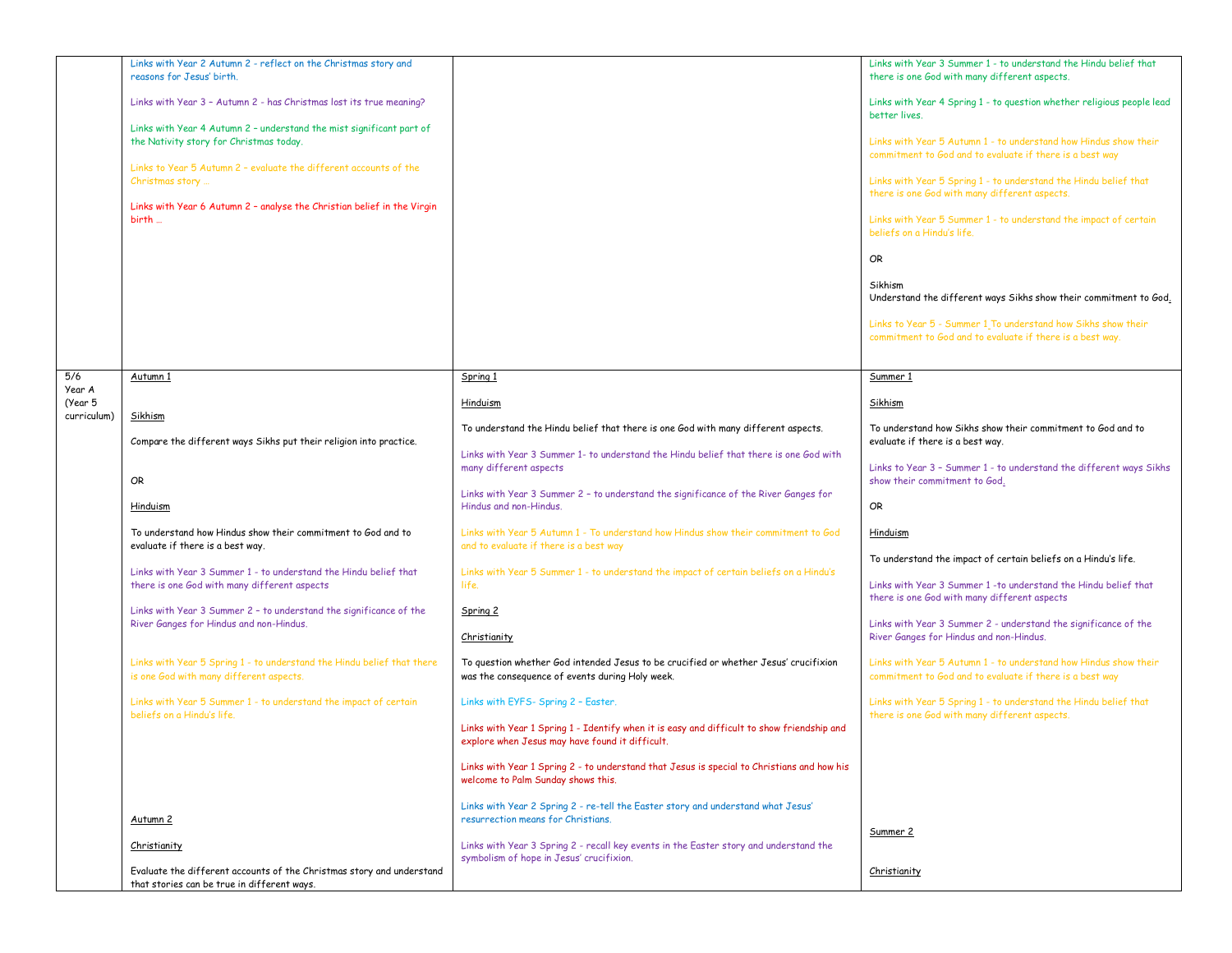|                        | Links with Year 2 Autumn 2 - reflect on the Christmas story and                                               |                                                                                                                              | Links with Year 3 Summer 1 - to understand the Hindu belief that                                                           |
|------------------------|---------------------------------------------------------------------------------------------------------------|------------------------------------------------------------------------------------------------------------------------------|----------------------------------------------------------------------------------------------------------------------------|
|                        | reasons for Jesus' birth.                                                                                     |                                                                                                                              | there is one God with many different aspects.                                                                              |
|                        | Links with Year 3 - Autumn 2 - has Christmas lost its true meaning?                                           |                                                                                                                              | Links with Year 4 Spring 1 - to question whether religious people lead                                                     |
|                        |                                                                                                               |                                                                                                                              | better lives.                                                                                                              |
|                        | Links with Year 4 Autumn 2 - understand the mist significant part of                                          |                                                                                                                              |                                                                                                                            |
|                        | the Nativity story for Christmas today.                                                                       |                                                                                                                              | Links with Year 5 Autumn 1 - to understand how Hindus show their                                                           |
|                        |                                                                                                               |                                                                                                                              | commitment to God and to evaluate if there is a best way                                                                   |
|                        | Links to Year 5 Autumn 2 - evaluate the different accounts of the                                             |                                                                                                                              |                                                                                                                            |
|                        | Christmas story                                                                                               |                                                                                                                              | Links with Year 5 Spring 1 - to understand the Hindu belief that<br>there is one God with many different aspects.          |
|                        | Links with Year 6 Autumn 2 - analyse the Christian belief in the Virgin                                       |                                                                                                                              |                                                                                                                            |
|                        | birth                                                                                                         |                                                                                                                              | Links with Year 5 Summer 1 - to understand the impact of certain                                                           |
|                        |                                                                                                               |                                                                                                                              | beliefs on a Hindu's life.                                                                                                 |
|                        |                                                                                                               |                                                                                                                              |                                                                                                                            |
|                        |                                                                                                               |                                                                                                                              | <b>OR</b>                                                                                                                  |
|                        |                                                                                                               |                                                                                                                              | Sikhism                                                                                                                    |
|                        |                                                                                                               |                                                                                                                              | Understand the different ways Sikhs show their commitment to God.                                                          |
|                        |                                                                                                               |                                                                                                                              |                                                                                                                            |
|                        |                                                                                                               |                                                                                                                              | Links to Year 5 - Summer 1 To understand how Sikhs show their<br>commitment to God and to evaluate if there is a best way. |
|                        |                                                                                                               |                                                                                                                              |                                                                                                                            |
|                        |                                                                                                               |                                                                                                                              |                                                                                                                            |
| 5/6                    | Autumn 1                                                                                                      | Spring 1                                                                                                                     | Summer 1                                                                                                                   |
| Year A                 |                                                                                                               |                                                                                                                              |                                                                                                                            |
| (Year 5<br>curriculum) | Sikhism                                                                                                       | Hinduism                                                                                                                     | Sikhism                                                                                                                    |
|                        |                                                                                                               | To understand the Hindu belief that there is one God with many different aspects.                                            | To understand how Sikhs show their commitment to God and to                                                                |
|                        | Compare the different ways Sikhs put their religion into practice.                                            |                                                                                                                              | evaluate if there is a best way.                                                                                           |
|                        |                                                                                                               | Links with Year 3 Summer 1- to understand the Hindu belief that there is one God with                                        |                                                                                                                            |
|                        | OR                                                                                                            | many different aspects                                                                                                       | Links to Year 3 - Summer 1 - to understand the different ways Sikhs<br>show their commitment to God.                       |
|                        |                                                                                                               | Links with Year 3 Summer 2 - to understand the significance of the River Ganges for                                          |                                                                                                                            |
|                        | Hinduism                                                                                                      | Hindus and non-Hindus.                                                                                                       | OR                                                                                                                         |
|                        |                                                                                                               |                                                                                                                              |                                                                                                                            |
|                        | To understand how Hindus show their commitment to God and to<br>evaluate if there is a best way.              | Links with Year 5 Autumn 1 - To understand how Hindus show their commitment to God<br>and to evaluate if there is a best way | Hinduism                                                                                                                   |
|                        |                                                                                                               |                                                                                                                              | To understand the impact of certain beliefs on a Hindu's life.                                                             |
|                        | Links with Year 3 Summer 1 - to understand the Hindu belief that                                              | Links with Year 5 Summer 1 - to understand the impact of certain beliefs on a Hindu's                                        |                                                                                                                            |
|                        | there is one God with many different aspects                                                                  | life.                                                                                                                        | Links with Year 3 Summer 1 - to understand the Hindu belief that                                                           |
|                        |                                                                                                               |                                                                                                                              | there is one God with many different aspects                                                                               |
|                        | Links with Year 3 Summer 2 - to understand the significance of the<br>River Ganges for Hindus and non-Hindus. | Spring 2                                                                                                                     | Links with Year 3 Summer 2 - understand the significance of the                                                            |
|                        |                                                                                                               | Christianity                                                                                                                 | River Ganges for Hindus and non-Hindus.                                                                                    |
|                        |                                                                                                               |                                                                                                                              |                                                                                                                            |
|                        | Links with Year 5 Spring 1 - to understand the Hindu belief that there                                        | To question whether God intended Jesus to be crucified or whether Jesus' crucifixion                                         | Links with Year 5 Autumn 1 - to understand how Hindus show their                                                           |
|                        | is one God with many different aspects.                                                                       | was the consequence of events during Holy week.                                                                              | commitment to God and to evaluate if there is a best way                                                                   |
|                        | Links with Year 5 Summer 1 - to understand the impact of certain                                              | Links with EYFS- Spring 2 - Easter.                                                                                          | Links with Year 5 Spring 1 - to understand the Hindu belief that                                                           |
|                        | beliefs on a Hindu's life.                                                                                    |                                                                                                                              | there is one God with many different aspects.                                                                              |
|                        |                                                                                                               | Links with Year 1 Spring 1 - Identify when it is easy and difficult to show friendship and                                   |                                                                                                                            |
|                        |                                                                                                               | explore when Jesus may have found it difficult.                                                                              |                                                                                                                            |
|                        |                                                                                                               | Links with Year 1 Spring 2 - to understand that Jesus is special to Christians and how his                                   |                                                                                                                            |
|                        |                                                                                                               | welcome to Palm Sunday shows this.                                                                                           |                                                                                                                            |
|                        |                                                                                                               |                                                                                                                              |                                                                                                                            |
|                        |                                                                                                               | Links with Year 2 Spring 2 - re-tell the Easter story and understand what Jesus'                                             |                                                                                                                            |
|                        | Autumn 2                                                                                                      | resurrection means for Christians.                                                                                           | Summer 2                                                                                                                   |
|                        | Christianity                                                                                                  | Links with Year 3 Spring 2 - recall key events in the Easter story and understand the                                        |                                                                                                                            |
|                        |                                                                                                               | symbolism of hope in Jesus' crucifixion.                                                                                     |                                                                                                                            |
|                        | Evaluate the different accounts of the Christmas story and understand                                         |                                                                                                                              | Christianity                                                                                                               |
|                        | that stories can be true in different ways.                                                                   |                                                                                                                              |                                                                                                                            |